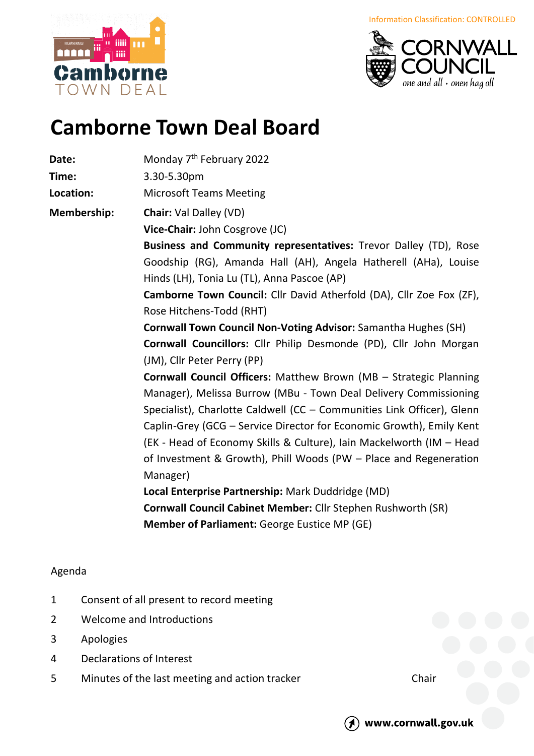borne OWN DFAI



## **Camborne Town Deal Board**

**Date:** Monday 7<sup>th</sup> February 2022

**Time:** 3.30-5.30pm

**Location:** Microsoft Teams Meeting

**Membership: Chair:** Val Dalley (VD)

**Vice-Chair:** John Cosgrove (JC)

**Business and Community representatives:** Trevor Dalley (TD), Rose Goodship (RG), Amanda Hall (AH), Angela Hatherell (AHa), Louise Hinds (LH), Tonia Lu (TL), Anna Pascoe (AP)

**Camborne Town Council:** Cllr David Atherfold (DA), Cllr Zoe Fox (ZF), Rose Hitchens-Todd (RHT)

**Cornwall Town Council Non-Voting Advisor:** Samantha Hughes (SH) **Cornwall Councillors:** Cllr Philip Desmonde (PD), Cllr John Morgan (JM), Cllr Peter Perry (PP)

**Cornwall Council Officers:** Matthew Brown (MB – Strategic Planning Manager), Melissa Burrow (MBu - Town Deal Delivery Commissioning Specialist), Charlotte Caldwell (CC – Communities Link Officer), Glenn Caplin-Grey (GCG – Service Director for Economic Growth), Emily Kent (EK - Head of Economy Skills & Culture), Iain Mackelworth (IM – Head of Investment & Growth), Phill Woods (PW – Place and Regeneration Manager)

**Local Enterprise Partnership:** Mark Duddridge (MD) **Cornwall Council Cabinet Member:** Cllr Stephen Rushworth (SR) **Member of Parliament:** George Eustice MP (GE)

## Agenda

- 1 Consent of all present to record meeting
- 2 Welcome and Introductions
- 3 Apologies
- 4 Declarations of Interest
- 5 Minutes of the last meeting and action tracker Chair



www.cornwall.gov.uk